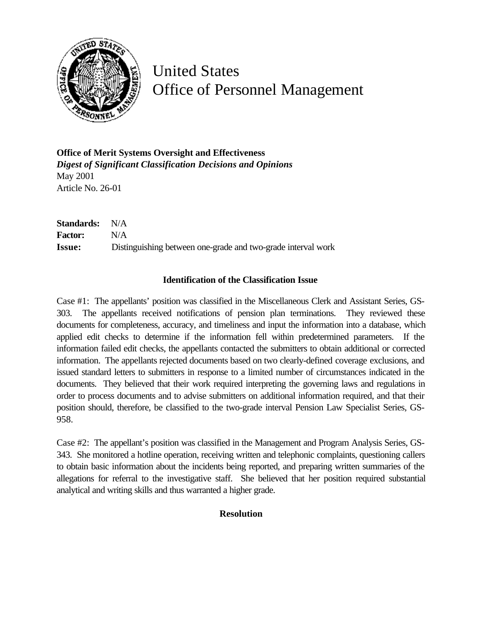

## United States Office of Personnel Management

**Office of Merit Systems Oversight and Effectiveness** *Digest of Significant Classification Decisions and Opinions* May 2001 Article No. 26-01

**Standards:** N/A **Factor:** N/A **Issue:** Distinguishing between one-grade and two-grade interval work

## **Identification of the Classification Issue**

Case #1: The appellants' position was classified in the Miscellaneous Clerk and Assistant Series, GS-303. The appellants received notifications of pension plan terminations. They reviewed these documents for completeness, accuracy, and timeliness and input the information into a database, which applied edit checks to determine if the information fell within predetermined parameters. If the information failed edit checks, the appellants contacted the submitters to obtain additional or corrected information. The appellants rejected documents based on two clearly-defined coverage exclusions, and issued standard letters to submitters in response to a limited number of circumstances indicated in the documents. They believed that their work required interpreting the governing laws and regulations in order to process documents and to advise submitters on additional information required, and that their position should, therefore, be classified to the two-grade interval Pension Law Specialist Series, GS-958.

Case #2: The appellant's position was classified in the Management and Program Analysis Series, GS-343. She monitored a hotline operation, receiving written and telephonic complaints, questioning callers to obtain basic information about the incidents being reported, and preparing written summaries of the allegations for referral to the investigative staff. She believed that her position required substantial analytical and writing skills and thus warranted a higher grade.

## **Resolution**